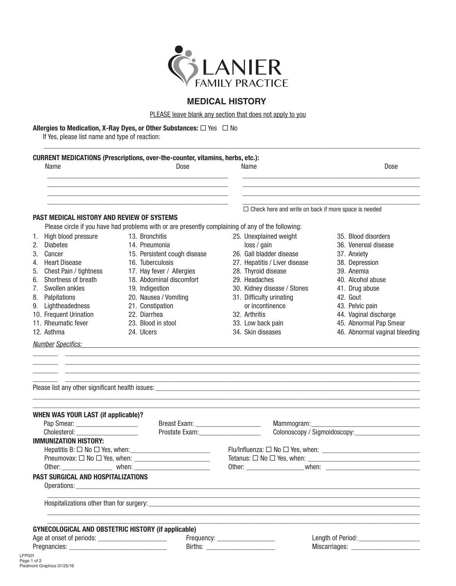

## **MEDICAL HISTORY**

PLEASE leave blank any section that does not apply to you

#### Allergies to Medication, X-Ray Dyes, or Other Substances:  $\Box$  Yes  $\Box$  No

If Yes, please list name and type of reaction:

| Name                                                                                 | Dose                                                                                                                                                                                                                                                                               | Name                          | Dose                                                        |
|--------------------------------------------------------------------------------------|------------------------------------------------------------------------------------------------------------------------------------------------------------------------------------------------------------------------------------------------------------------------------------|-------------------------------|-------------------------------------------------------------|
|                                                                                      |                                                                                                                                                                                                                                                                                    |                               | $\Box$ Check here and write on back if more space is needed |
| <b>PAST MEDICAL HISTORY AND REVIEW OF SYSTEMS</b>                                    | Please circle if you have had problems with or are presently complaining of any of the following:                                                                                                                                                                                  |                               |                                                             |
| 1. High blood pressure                                                               | 13. Bronchitis                                                                                                                                                                                                                                                                     | 25. Unexplained weight        | 35. Blood disorders                                         |
| <b>Diabetes</b><br>2.                                                                | 14. Pneumonia                                                                                                                                                                                                                                                                      | loss / gain                   | 36. Venereal disease                                        |
| 3. Cancer                                                                            | 15. Persistent cough disease                                                                                                                                                                                                                                                       | 26. Gall bladder disease      | 37. Anxiety                                                 |
| 4. Heart Disease                                                                     | 16. Tuberculosis                                                                                                                                                                                                                                                                   | 27. Hepatitis / Liver disease | 38. Depression                                              |
| 5. Chest Pain / tightness                                                            | 17. Hay fever / Allergies                                                                                                                                                                                                                                                          | 28. Thyroid disease           | 39. Anemia                                                  |
| 6. Shortness of breath                                                               | 18. Abdominal discomfort                                                                                                                                                                                                                                                           | 29. Headaches                 | 40. Alcohol abuse                                           |
| Swollen ankles<br>7.                                                                 | 19. Indigestion                                                                                                                                                                                                                                                                    | 30. Kidney disease / Stones   | 41. Drug abuse                                              |
| 8. Palpitations                                                                      | 20. Nausea / Vomiting                                                                                                                                                                                                                                                              | 31. Difficulty urinating      | 42. Gout                                                    |
| 9. Lightheadedness                                                                   | 21. Constipation                                                                                                                                                                                                                                                                   | or incontinence               | 43. Pelvic pain                                             |
| 10. Frequent Urination                                                               | 22. Diarrhea                                                                                                                                                                                                                                                                       | 32. Arthritis                 | 44. Vaginal discharge                                       |
| 11. Rheumatic fever                                                                  | 23. Blood in stool                                                                                                                                                                                                                                                                 | 33. Low back pain             | 45. Abnormal Pap Smear                                      |
| 12. Asthma                                                                           | 24. Ulcers                                                                                                                                                                                                                                                                         | 34. Skin diseases             | 46. Abnormal vaginal bleeding                               |
|                                                                                      | <u>Number Specifics:</u> Number Specifics:<br><u> 1988 - Johann Harry Harry Harry Harry Harry Harry Harry Harry Harry Harry Harry Harry Harry Harry Harry Harry Harry Harry Harry Harry Harry Harry Harry Harry Harry Harry Harry Harry Harry Harry Harry Harry Harry Harry Ha</u> |                               |                                                             |
|                                                                                      |                                                                                                                                                                                                                                                                                    |                               |                                                             |
|                                                                                      |                                                                                                                                                                                                                                                                                    |                               |                                                             |
|                                                                                      |                                                                                                                                                                                                                                                                                    |                               |                                                             |
| <b>WHEN WAS YOUR LAST (if applicable)?</b><br>Cholesterol: <b>Manual Cholesterol</b> | Prostate Exam: _____________________                                                                                                                                                                                                                                               |                               |                                                             |
|                                                                                      |                                                                                                                                                                                                                                                                                    |                               |                                                             |
| <b>IMMUNIZATION HISTORY:</b>                                                         |                                                                                                                                                                                                                                                                                    |                               |                                                             |
| Pneumovax: $\square$ No $\square$ Yes, when: _                                       |                                                                                                                                                                                                                                                                                    |                               |                                                             |
|                                                                                      |                                                                                                                                                                                                                                                                                    |                               |                                                             |
|                                                                                      |                                                                                                                                                                                                                                                                                    |                               |                                                             |
|                                                                                      |                                                                                                                                                                                                                                                                                    |                               |                                                             |
| PAST SURGICAL AND HOSPITALIZATIONS                                                   | <b>GYNECOLOGICAL AND OBSTETRIC HISTORY (if applicable)</b>                                                                                                                                                                                                                         |                               | Other: when: when:                                          |
|                                                                                      |                                                                                                                                                                                                                                                                                    |                               |                                                             |